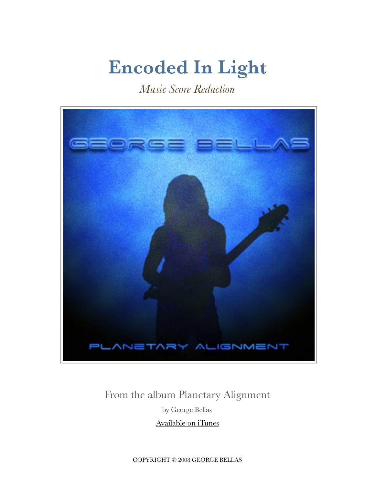## **Encoded In Light**

*Music Score Reduction* 



#### From the album Planetary Alignment

by George Bellas

[Available on iTunes](ttps://itunes.apple.com/us/album/planetary-alignment/id276380101)

COPYRIGHT © 2008 GEORGE BELLAS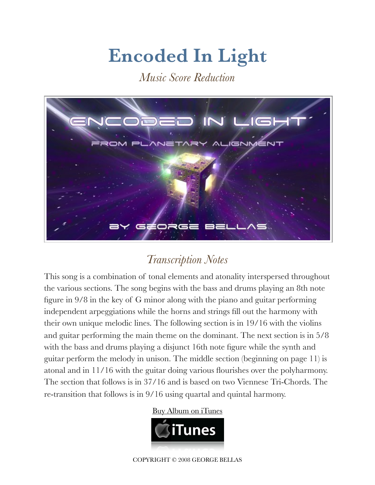# **Encoded In Light**

*Music Score Reduction* 



### *Transcription Notes*

This song is a combination of tonal elements and atonality interspersed throughout the various sections. The song begins with the bass and drums playing an 8th note figure in 9/8 in the key of G minor along with the piano and guitar performing independent arpeggiations while the horns and strings fill out the harmony with their own unique melodic lines. The following section is in 19/16 with the violins and guitar performing the main theme on the dominant. The next section is in 5/8 with the bass and drums playing a disjunct 16th note figure while the synth and guitar perform the melody in unison. The middle section (beginning on page 11) is atonal and in 11/16 with the guitar doing various flourishes over the polyharmony. The section that follows is in 37/16 and is based on two Viennese Tri-Chords. The re-transition that follows is in 9/16 using quartal and quintal harmony.

#### [Buy Album on iTunes](https://itunes.apple.com/us/album/planetary-alignment/id276380101)



COPYRIGHT © 2008 GEORGE BELLAS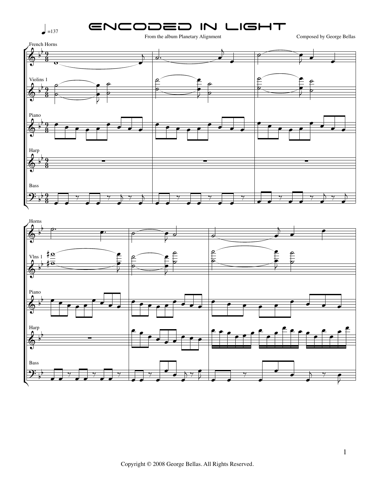

From the album Planetary Alignment

Composed by George Bellas



 $_{\rm Bass}$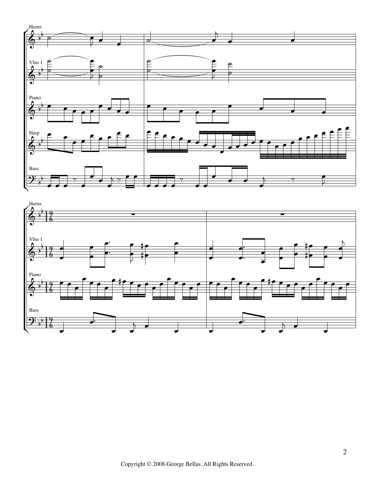

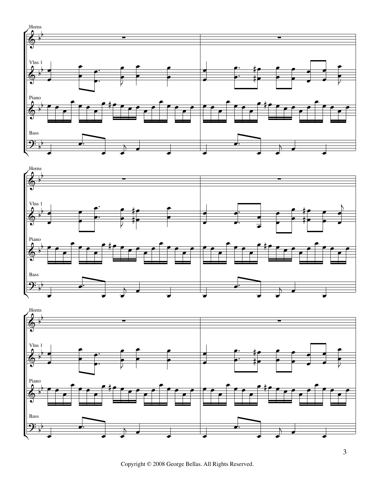





Copyright © 2008 George Bellas. All Rights Reserved.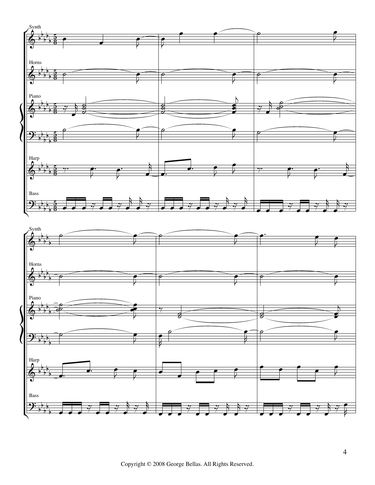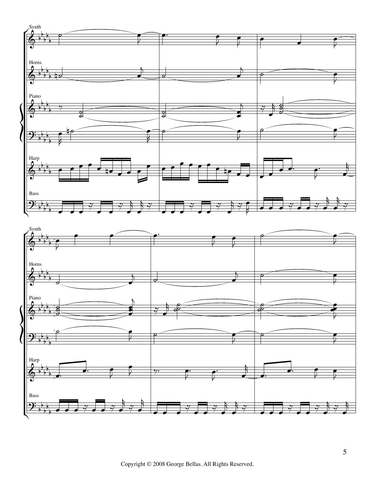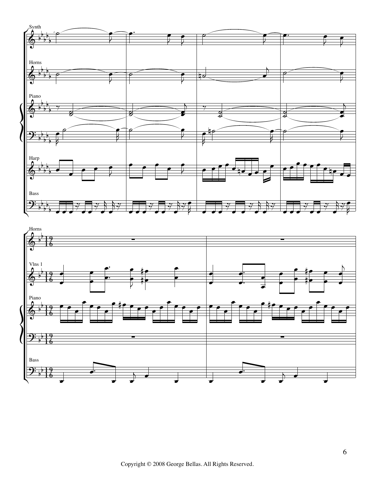

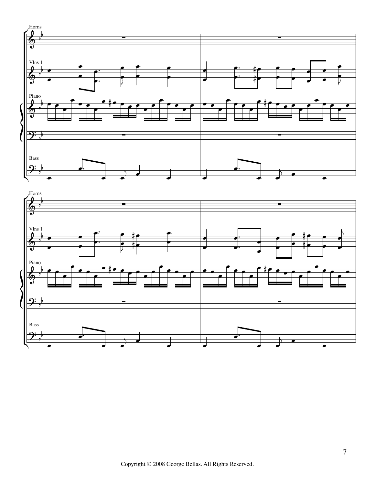

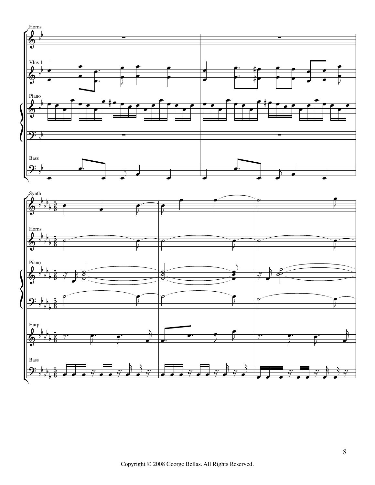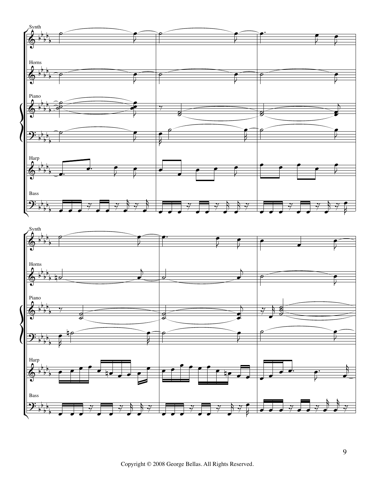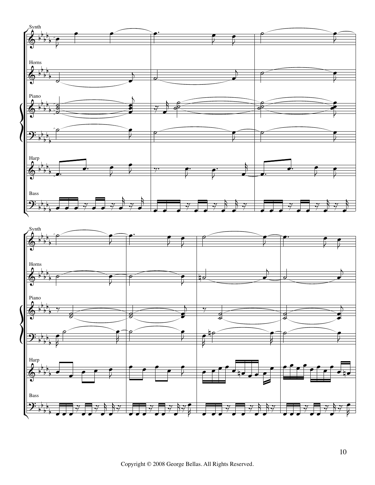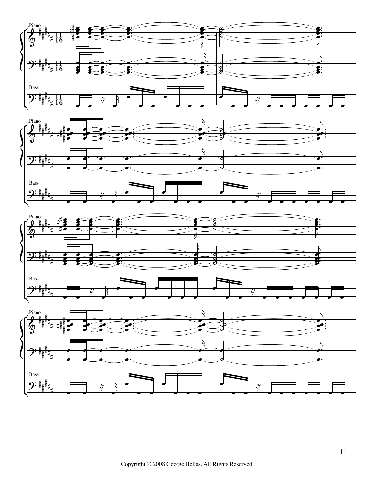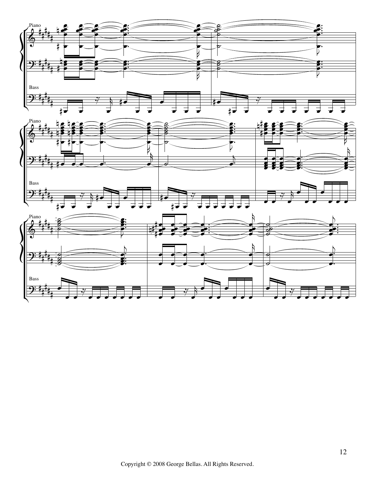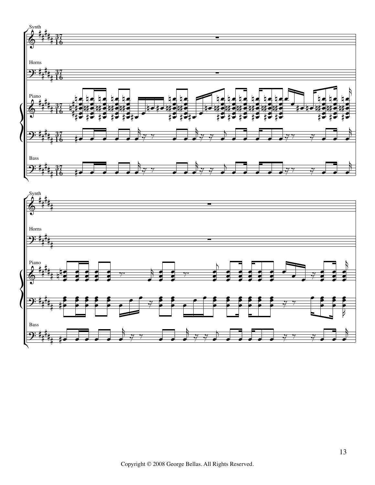

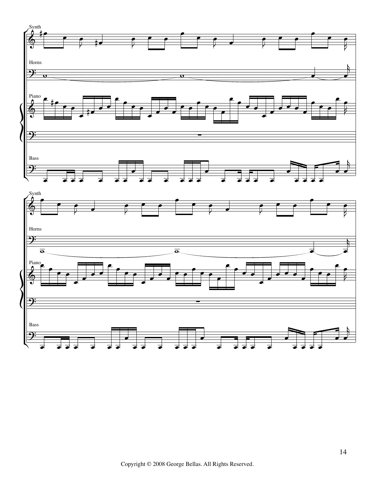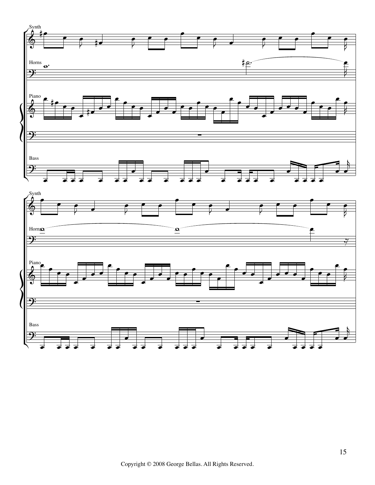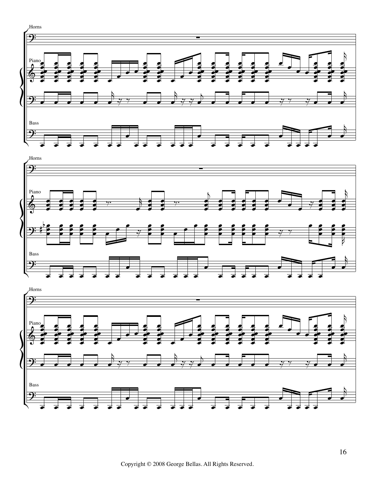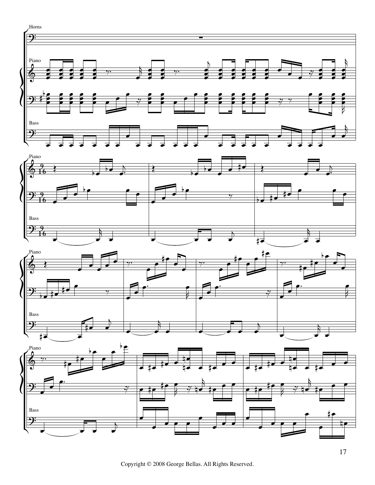

Copyright © 2008 George Bellas. All Rights Reserved.

17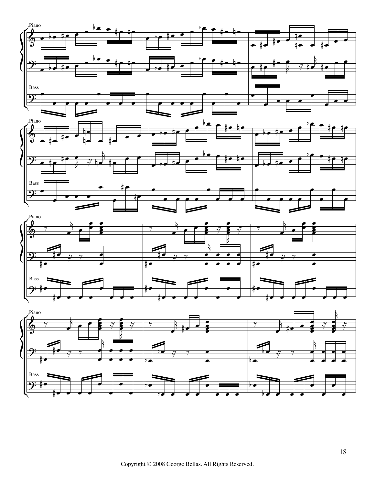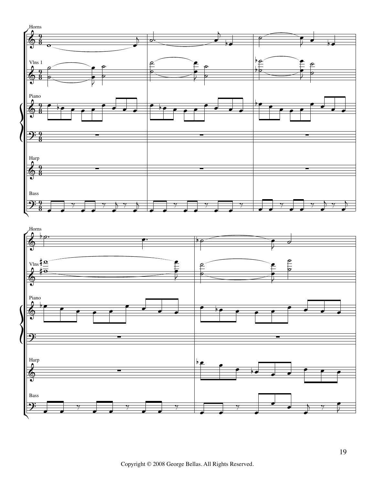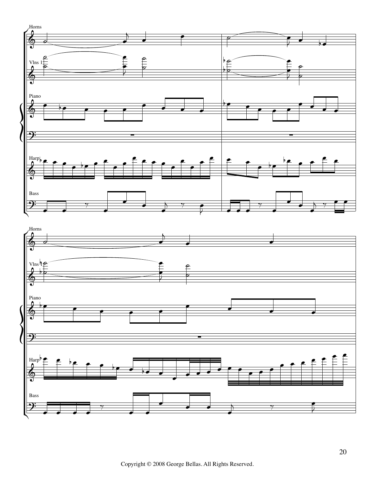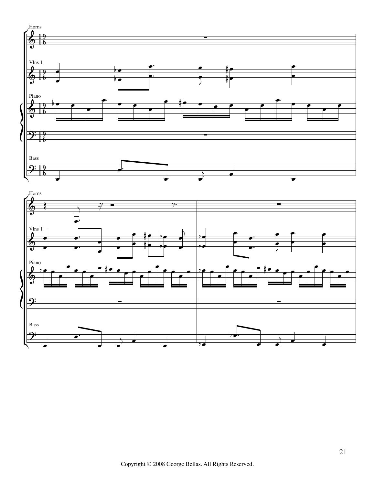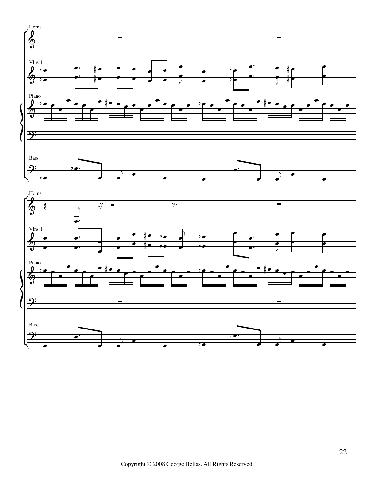

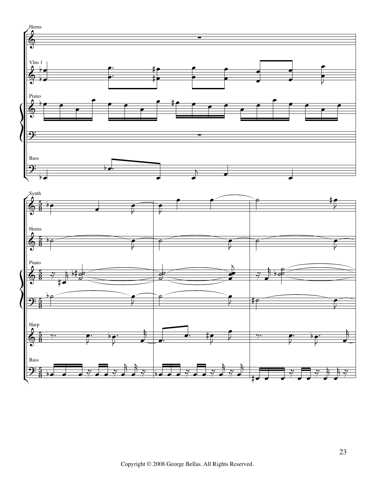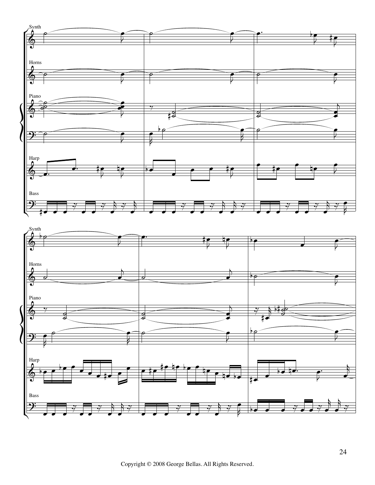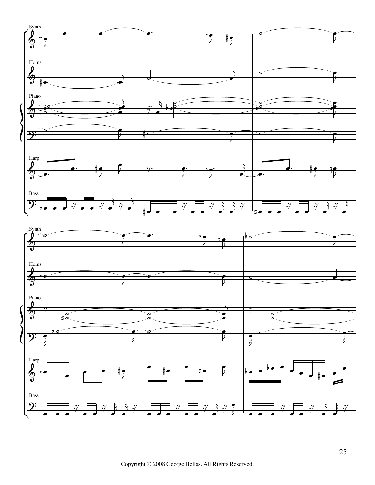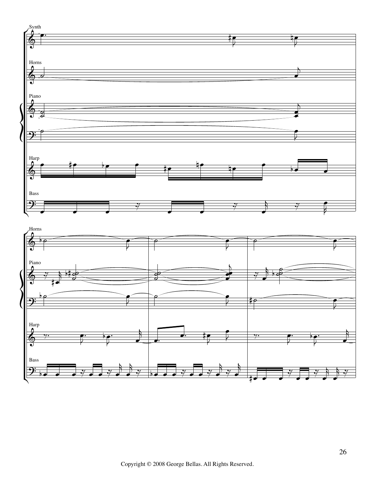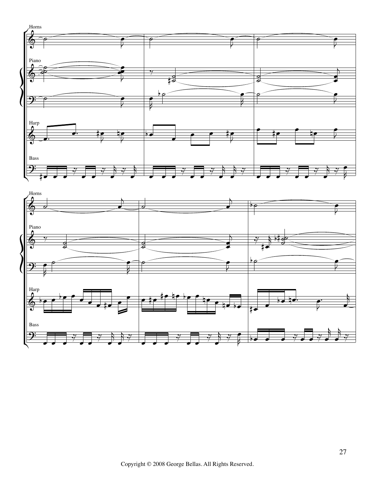

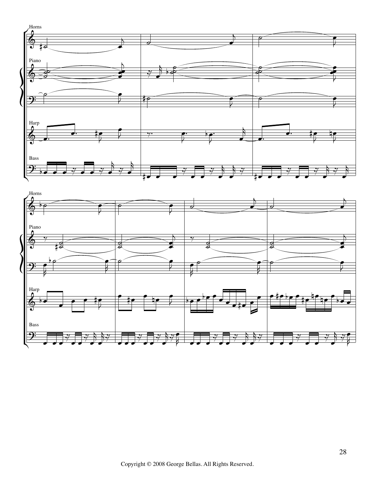

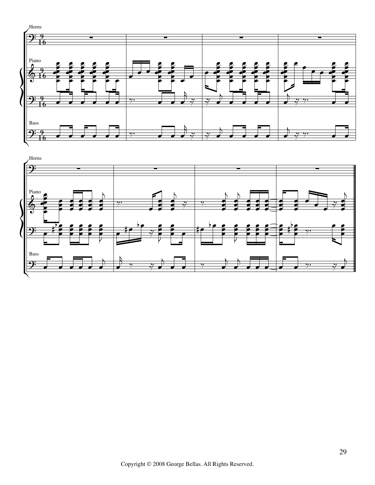